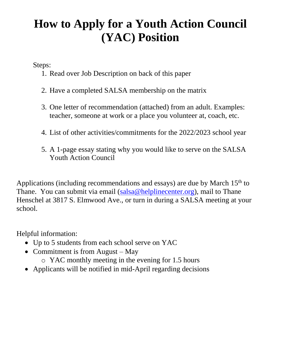## **How to Apply for a Youth Action Council (YAC) Position**

Steps:

- 1. Read over Job Description on back of this paper
- 2. Have a completed SALSA membership on the matrix
- 3. One letter of recommendation (attached) from an adult. Examples: teacher, someone at work or a place you volunteer at, coach, etc.
- 4. List of other activities/commitments for the 2022/2023 school year
- 5. A 1-page essay stating why you would like to serve on the SALSA Youth Action Council

Applications (including recommendations and essays) are due by March 15<sup>th</sup> to Thane. You can submit via email [\(salsa@helplinecenter.org\)](mailto:salsa@helplinecenter.org), mail to Thane Henschel at 3817 S. Elmwood Ave., or turn in during a SALSA meeting at your school.

Helpful information:

- Up to 5 students from each school serve on YAC
- Commitment is from August May
	- o YAC monthly meeting in the evening for 1.5 hours
- Applicants will be notified in mid-April regarding decisions